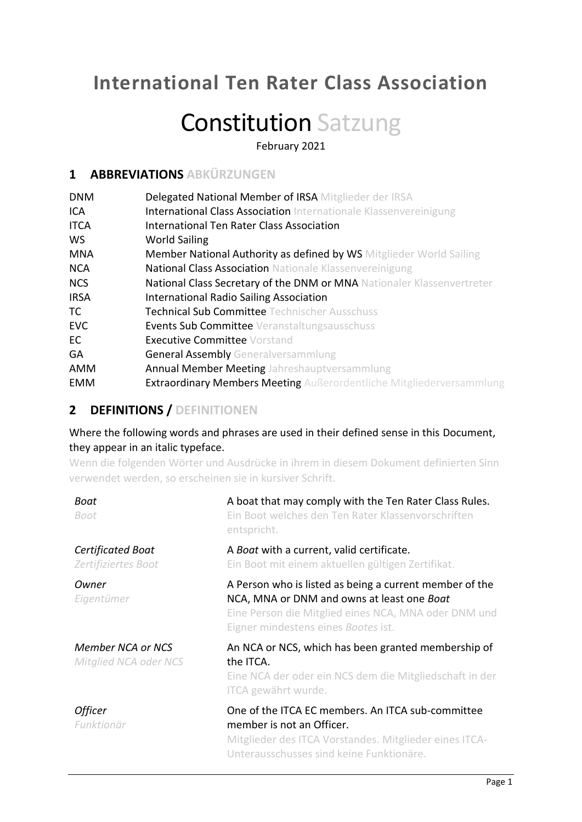## **International Ten Rater Class Association**

# Constitution Satzung

February 2021

## **1 ABBREVIATIONS ABKÜRZUNGEN**

| <b>DNM</b>  | Delegated National Member of IRSA Mitglieder der IRSA                       |
|-------------|-----------------------------------------------------------------------------|
| ICA         | <b>International Class Association</b> Internationale Klassenvereinigung    |
| <b>ITCA</b> | International Ten Rater Class Association                                   |
| <b>WS</b>   | <b>World Sailing</b>                                                        |
| <b>MNA</b>  | <b>Member National Authority as defined by WS</b> Mitglieder World Sailing  |
| <b>NCA</b>  | <b>National Class Association Nationale Klassenvereinigung</b>              |
| <b>NCS</b>  | National Class Secretary of the DNM or MNA Nationaler Klassenvertreter      |
| <b>IRSA</b> | International Radio Sailing Association                                     |
| TC          | <b>Technical Sub Committee Technischer Ausschuss</b>                        |
| <b>EVC</b>  | <b>Events Sub Committee</b> Veranstaltungsausschuss                         |
| EC          | <b>Executive Committee Vorstand</b>                                         |
| <b>GA</b>   | <b>General Assembly Generalversammlung</b>                                  |
| AMM         | <b>Annual Member Meeting Jahreshauptversammlung</b>                         |
| EMM         | <b>Extraordinary Members Meeting</b> Außerordentliche Mitgliederversammlung |

## **2 DEFINITIONS / DEFINITIONEN**

Where the following words and phrases are used in their defined sense in this Document, they appear in an italic typeface.

Wenn die folgenden Wörter und Ausdrücke in ihrem in diesem Dokument definierten Sinn verwendet werden, so erscheinen sie in kursiver Schrift.

| Boat<br>Boot                                      | A boat that may comply with the Ten Rater Class Rules.<br>Ein Boot welches den Ten Rater Klassenvorschriften<br>entspricht.                                                                          |
|---------------------------------------------------|------------------------------------------------------------------------------------------------------------------------------------------------------------------------------------------------------|
| <b>Certificated Boat</b><br>Zertifiziertes Boot   | A Boat with a current, valid certificate.<br>Ein Boot mit einem aktuellen gültigen Zertifikat.                                                                                                       |
| Owner<br>Eigentümer                               | A Person who is listed as being a current member of the<br>NCA, MNA or DNM and owns at least one Boat<br>Eine Person die Mitglied eines NCA, MNA oder DNM und<br>Eigner mindestens eines Bootes ist. |
| <b>Member NCA or NCS</b><br>Mitglied NCA oder NCS | An NCA or NCS, which has been granted membership of<br>the ITCA.<br>Eine NCA der oder ein NCS dem die Mitgliedschaft in der<br>ITCA gewährt wurde.                                                   |
| <b>Officer</b><br>Funktionär                      | One of the ITCA EC members. An ITCA sub-committee<br>member is not an Officer.<br>Mitglieder des ITCA Vorstandes. Mitglieder eines ITCA-<br>Unterausschusses sind keine Funktionäre.                 |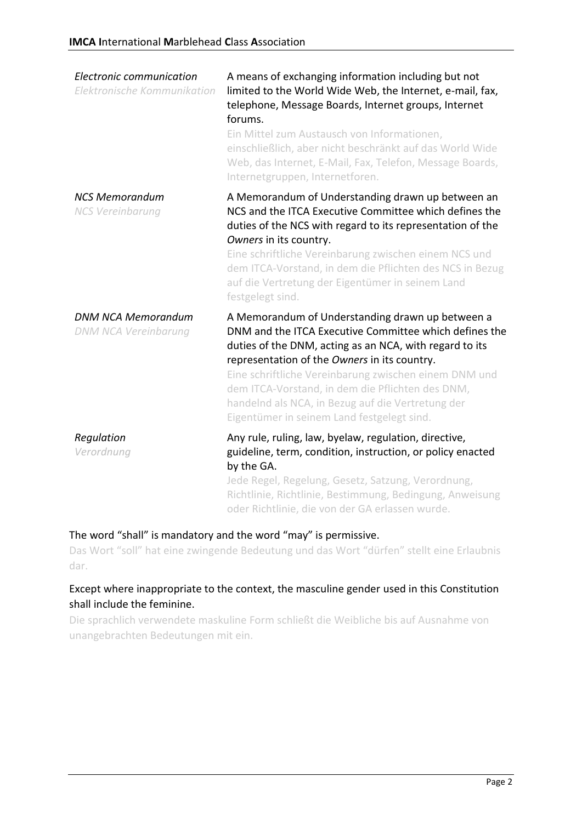| Electronic communication<br>Elektronische Kommunikation  | A means of exchanging information including but not<br>limited to the World Wide Web, the Internet, e-mail, fax,<br>telephone, Message Boards, Internet groups, Internet<br>forums.<br>Ein Mittel zum Austausch von Informationen,<br>einschließlich, aber nicht beschränkt auf das World Wide<br>Web, das Internet, E-Mail, Fax, Telefon, Message Boards,<br>Internetgruppen, Internetforen.                                         |
|----------------------------------------------------------|---------------------------------------------------------------------------------------------------------------------------------------------------------------------------------------------------------------------------------------------------------------------------------------------------------------------------------------------------------------------------------------------------------------------------------------|
| <b>NCS Memorandum</b><br><b>NCS Vereinbarung</b>         | A Memorandum of Understanding drawn up between an<br>NCS and the ITCA Executive Committee which defines the<br>duties of the NCS with regard to its representation of the<br>Owners in its country.<br>Eine schriftliche Vereinbarung zwischen einem NCS und<br>dem ITCA-Vorstand, in dem die Pflichten des NCS in Bezug<br>auf die Vertretung der Eigentümer in seinem Land<br>festgelegt sind.                                      |
| <b>DNM NCA Memorandum</b><br><b>DNM NCA Vereinbarung</b> | A Memorandum of Understanding drawn up between a<br>DNM and the ITCA Executive Committee which defines the<br>duties of the DNM, acting as an NCA, with regard to its<br>representation of the Owners in its country.<br>Eine schriftliche Vereinbarung zwischen einem DNM und<br>dem ITCA-Vorstand, in dem die Pflichten des DNM,<br>handelnd als NCA, in Bezug auf die Vertretung der<br>Eigentümer in seinem Land festgelegt sind. |
| Regulation<br>Verordnung                                 | Any rule, ruling, law, byelaw, regulation, directive,<br>guideline, term, condition, instruction, or policy enacted<br>by the GA.<br>Jede Regel, Regelung, Gesetz, Satzung, Verordnung,<br>Richtlinie, Richtlinie, Bestimmung, Bedingung, Anweisung<br>oder Richtlinie, die von der GA erlassen wurde.                                                                                                                                |

#### The word "shall" is mandatory and the word "may" is permissive.

Das Wort "soll" hat eine zwingende Bedeutung und das Wort "dürfen" stellt eine Erlaubnis dar.

#### Except where inappropriate to the context, the masculine gender used in this Constitution shall include the feminine.

Die sprachlich verwendete maskuline Form schließt die Weibliche bis auf Ausnahme von unangebrachten Bedeutungen mit ein.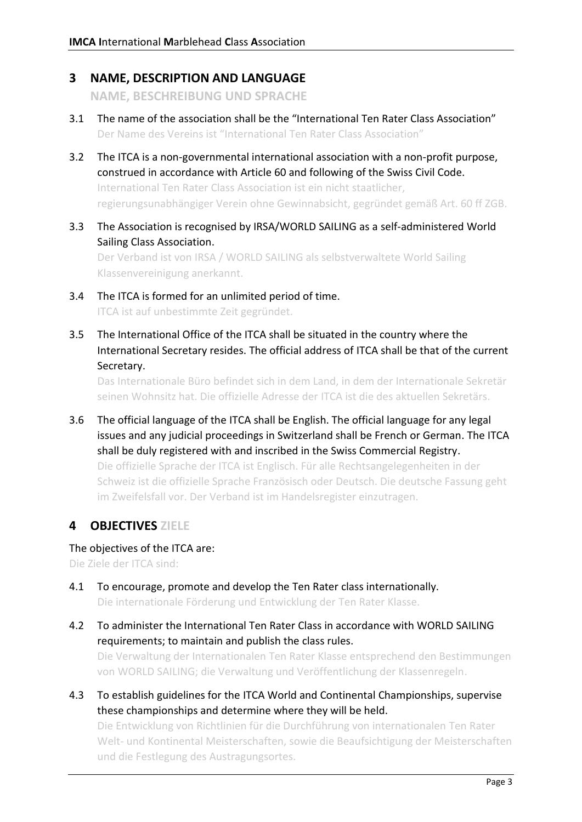#### **3 NAME, DESCRIPTION AND LANGUAGE**

**NAME, BESCHREIBUNG UND SPRACHE**

- 3.1 The name of the association shall be the "International Ten Rater Class Association" Der Name des Vereins ist "International Ten Rater Class Association"
- 3.2 The ITCA is a non-governmental international association with a non-profit purpose, construed in accordance with Article 60 and following of the Swiss Civil Code. International Ten Rater Class Association ist ein nicht staatlicher, regierungsunabhängiger Verein ohne Gewinnabsicht, gegründet gemäß Art. 60 ff ZGB.
- 3.3 The Association is recognised by IRSA/WORLD SAILING as a self-administered World Sailing Class Association.

Der Verband ist von IRSA / WORLD SAILING als selbstverwaltete World Sailing Klassenvereinigung anerkannt.

- 3.4 The ITCA is formed for an unlimited period of time. ITCA ist auf unbestimmte Zeit gegründet.
- 3.5 The International Office of the ITCA shall be situated in the country where the International Secretary resides. The official address of ITCA shall be that of the current Secretary.

Das Internationale Büro befindet sich in dem Land, in dem der Internationale Sekretär seinen Wohnsitz hat. Die offizielle Adresse der ITCA ist die des aktuellen Sekretärs.

3.6 The official language of the ITCA shall be English. The official language for any legal issues and any judicial proceedings in Switzerland shall be French or German. The ITCA shall be duly registered with and inscribed in the Swiss Commercial Registry. Die offizielle Sprache der ITCA ist Englisch. Für alle Rechtsangelegenheiten in der Schweiz ist die offizielle Sprache Französisch oder Deutsch. Die deutsche Fassung geht im Zweifelsfall vor. Der Verband ist im Handelsregister einzutragen.

## **4 OBJECTIVES ZIELE**

#### The objectives of the ITCA are:

Die Ziele der ITCA sind:

- 4.1 To encourage, promote and develop the Ten Rater class internationally. Die internationale Förderung und Entwicklung der Ten Rater Klasse.
- 4.2 To administer the International Ten Rater Class in accordance with WORLD SAILING requirements; to maintain and publish the class rules.

Die Verwaltung der Internationalen Ten Rater Klasse entsprechend den Bestimmungen von WORLD SAILING; die Verwaltung und Veröffentlichung der Klassenregeln.

4.3 To establish guidelines for the ITCA World and Continental Championships, supervise these championships and determine where they will be held.

Die Entwicklung von Richtlinien für die Durchführung von internationalen Ten Rater Welt- und Kontinental Meisterschaften, sowie die Beaufsichtigung der Meisterschaften und die Festlegung des Austragungsortes.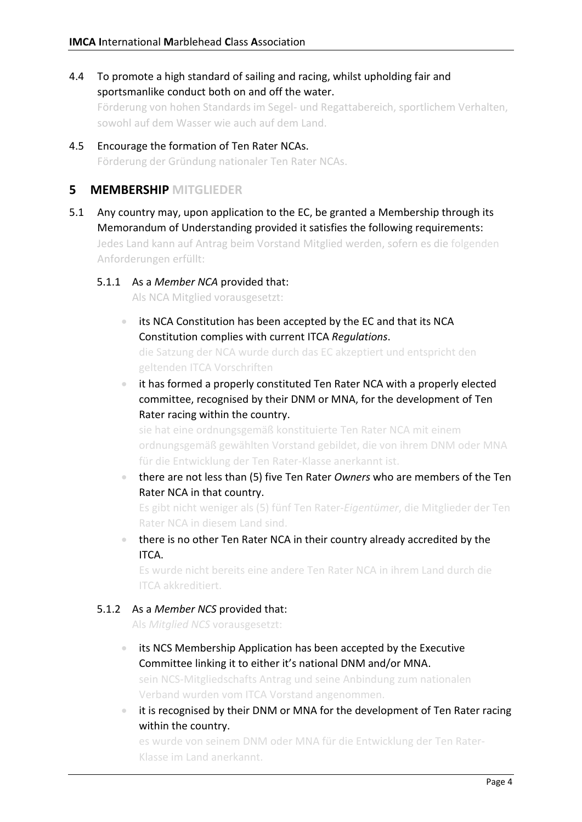4.4 To promote a high standard of sailing and racing, whilst upholding fair and sportsmanlike conduct both on and off the water.

Förderung von hohen Standards im Segel- und Regattabereich, sportlichem Verhalten, sowohl auf dem Wasser wie auch auf dem Land.

4.5 Encourage the formation of Ten Rater NCAs. Förderung der Gründung nationaler Ten Rater NCAs.

#### **5 MEMBERSHIP MITGLIEDER**

5.1 Any country may, upon application to the EC, be granted a Membership through its Memorandum of Understanding provided it satisfies the following requirements:

Jedes Land kann auf Antrag beim Vorstand Mitglied werden, sofern es die folgenden Anforderungen erfüllt:

#### 5.1.1 As a *Member NCA* provided that:

Als NCA Mitglied vorausgesetzt:

- its NCA Constitution has been accepted by the EC and that its NCA Constitution complies with current ITCA *Regulations*. die Satzung der NCA wurde durch das EC akzeptiert und entspricht den geltenden ITCA Vorschriften
- it has formed a properly constituted Ten Rater NCA with a properly elected committee, recognised by their DNM or MNA, for the development of Ten Rater racing within the country.

sie hat eine ordnungsgemäß konstituierte Ten Rater NCA mit einem ordnungsgemäß gewählten Vorstand gebildet, die von ihrem DNM oder MNA für die Entwicklung der Ten Rater-Klasse anerkannt ist.

• there are not less than (5) five Ten Rater *Owners* who are members of the Ten Rater NCA in that country.

Es gibt nicht weniger als (5) fünf Ten Rater-*Eigentümer*, die Mitglieder der Ten Rater NCA in diesem Land sind.

• there is no other Ten Rater NCA in their country already accredited by the ITCA.

Es wurde nicht bereits eine andere Ten Rater NCA in ihrem Land durch die ITCA akkreditiert.

#### 5.1.2 As a *Member NCS* provided that:

Als *Mitglied NCS* vorausgesetzt:

- its NCS Membership Application has been accepted by the Executive Committee linking it to either it's national DNM and/or MNA. sein NCS-Mitgliedschafts Antrag und seine Anbindung zum nationalen Verband wurden vom ITCA Vorstand angenommen.
- it is recognised by their DNM or MNA for the development of Ten Rater racing within the country.

es wurde von seinem DNM oder MNA für die Entwicklung der Ten Rater-Klasse im Land anerkannt.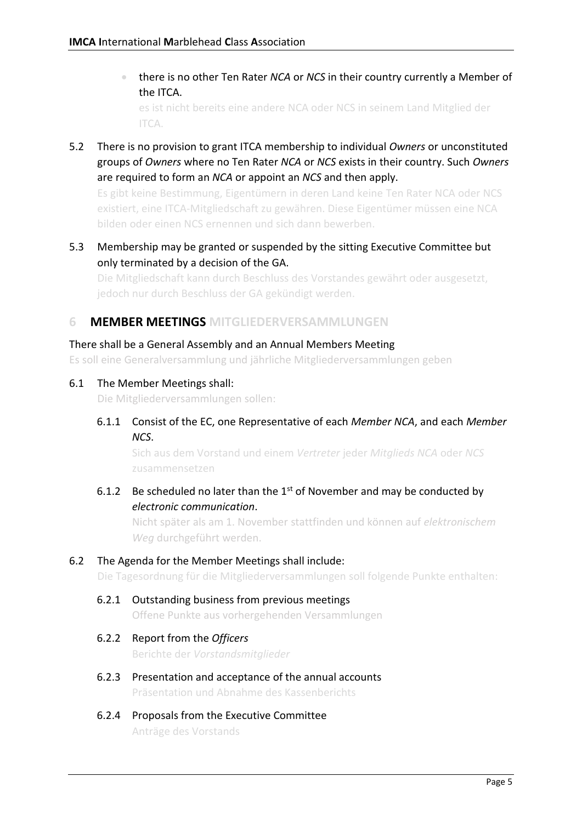• there is no other Ten Rater *NCA* or *NCS* in their country currently a Member of the ITCA.

es ist nicht bereits eine andere NCA oder NCS in seinem Land Mitglied der ITCA.

5.2 There is no provision to grant ITCA membership to individual *Owners* or unconstituted groups of *Owners* where no Ten Rater *NCA* or *NCS* exists in their country. Such *Owners* are required to form an *NCA* or appoint an *NCS* and then apply.

Es gibt keine Bestimmung, Eigentümern in deren Land keine Ten Rater NCA oder NCS existiert, eine ITCA-Mitgliedschaft zu gewähren. Diese Eigentümer müssen eine NCA bilden oder einen NCS ernennen und sich dann bewerben.

5.3 Membership may be granted or suspended by the sitting Executive Committee but only terminated by a decision of the GA.

Die Mitgliedschaft kann durch Beschluss des Vorstandes gewährt oder ausgesetzt, jedoch nur durch Beschluss der GA gekündigt werden.

#### **6 MEMBER MEETINGS MITGLIEDERVERSAMMLUNGEN**

#### There shall be a General Assembly and an Annual Members Meeting

Es soll eine Generalversammlung und jährliche Mitgliederversammlungen geben

#### 6.1 The Member Meetings shall:

Die Mitgliederversammlungen sollen:

6.1.1 Consist of the EC, one Representative of each *Member NCA*, and each *Member NCS*.

Sich aus dem Vorstand und einem *Vertreter* jeder *Mitglieds NCA* oder *NCS* zusammensetzen

6.1.2 Be scheduled no later than the  $1<sup>st</sup>$  of November and may be conducted by *electronic communication*.

Nicht später als am 1. November stattfinden und können auf *elektronischem Weg* durchgeführt werden.

#### 6.2 The Agenda for the Member Meetings shall include:

Die Tagesordnung für die Mitgliederversammlungen soll folgende Punkte enthalten:

6.2.1 Outstanding business from previous meetings Offene Punkte aus vorhergehenden Versammlungen

#### 6.2.2 Report from the *Officers*

Berichte der *Vorstandsmitglieder*

- 6.2.3 Presentation and acceptance of the annual accounts Präsentation und Abnahme des Kassenberichts
- 6.2.4 Proposals from the Executive Committee Anträge des Vorstands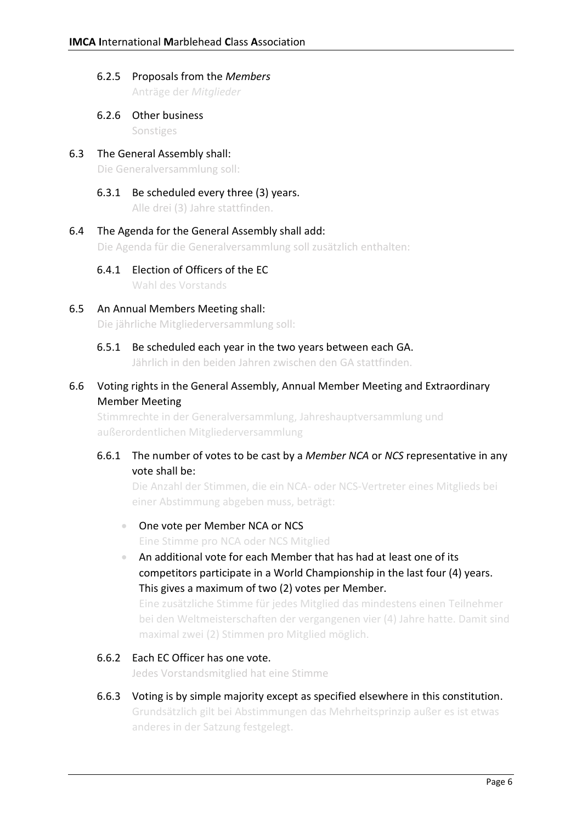## 6.2.5 Proposals from the *Members*

Anträge der *Mitglieder*

- 6.2.6 Other business Sonstiges
- 6.3 The General Assembly shall: Die Generalversammlung soll:
	- 6.3.1 Be scheduled every three (3) years. Alle drei (3) Jahre stattfinden.

#### 6.4 The Agenda for the General Assembly shall add:

Die Agenda für die Generalversammlung soll zusätzlich enthalten:

6.4.1 Election of Officers of the EC

Wahl des Vorstands

6.5 An Annual Members Meeting shall:

Die jährliche Mitgliederversammlung soll:

6.5.1 Be scheduled each year in the two years between each GA.

Jährlich in den beiden Jahren zwischen den GA stattfinden.

#### 6.6 Voting rights in the General Assembly, Annual Member Meeting and Extraordinary Member Meeting

Stimmrechte in der Generalversammlung, Jahreshauptversammlung und außerordentlichen Mitgliederversammlung

#### 6.6.1 The number of votes to be cast by a *Member NCA* or *NCS* representative in any vote shall be:

Die Anzahl der Stimmen, die ein NCA- oder NCS-Vertreter eines Mitglieds bei einer Abstimmung abgeben muss, beträgt:

#### • One vote per Member NCA or NCS

Eine Stimme pro NCA oder NCS Mitglied

• An additional vote for each Member that has had at least one of its competitors participate in a World Championship in the last four (4) years. This gives a maximum of two (2) votes per Member.

Eine zusätzliche Stimme für jedes Mitglied das mindestens einen Teilnehmer bei den Weltmeisterschaften der vergangenen vier (4) Jahre hatte. Damit sind maximal zwei (2) Stimmen pro Mitglied möglich.

#### 6.6.2 Each EC Officer has one vote.

Jedes Vorstandsmitglied hat eine Stimme

6.6.3 Voting is by simple majority except as specified elsewhere in this constitution. Grundsätzlich gilt bei Abstimmungen das Mehrheitsprinzip außer es ist etwas anderes in der Satzung festgelegt.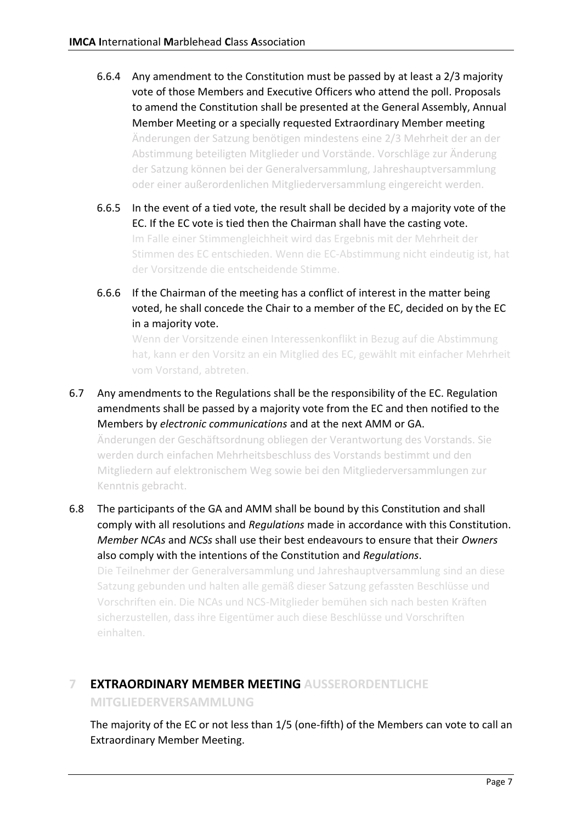- 6.6.4 Any amendment to the Constitution must be passed by at least a 2/3 majority vote of those Members and Executive Officers who attend the poll. Proposals to amend the Constitution shall be presented at the General Assembly, Annual Member Meeting or a specially requested Extraordinary Member meeting Änderungen der Satzung benötigen mindestens eine 2/3 Mehrheit der an der Abstimmung beteiligten Mitglieder und Vorstände. Vorschläge zur Änderung der Satzung können bei der Generalversammlung, Jahreshauptversammlung oder einer außerordenlichen Mitgliederversammlung eingereicht werden.
- 6.6.5 In the event of a tied vote, the result shall be decided by a majority vote of the EC. If the EC vote is tied then the Chairman shall have the casting vote. Im Falle einer Stimmengleichheit wird das Ergebnis mit der Mehrheit der Stimmen des EC entschieden. Wenn die EC-Abstimmung nicht eindeutig ist, hat der Vorsitzende die entscheidende Stimme.
- 6.6.6 If the Chairman of the meeting has a conflict of interest in the matter being voted, he shall concede the Chair to a member of the EC, decided on by the EC in a majority vote.

Wenn der Vorsitzende einen Interessenkonflikt in Bezug auf die Abstimmung hat, kann er den Vorsitz an ein Mitglied des EC, gewählt mit einfacher Mehrheit vom Vorstand, abtreten.

6.7 Any amendments to the Regulations shall be the responsibility of the EC. Regulation amendments shall be passed by a majority vote from the EC and then notified to the Members by *electronic communications* and at the next AMM or GA.

Änderungen der Geschäftsordnung obliegen der Verantwortung des Vorstands. Sie werden durch einfachen Mehrheitsbeschluss des Vorstands bestimmt und den Mitgliedern auf elektronischem Weg sowie bei den Mitgliederversammlungen zur Kenntnis gebracht.

6.8 The participants of the GA and AMM shall be bound by this Constitution and shall comply with all resolutions and *Regulations* made in accordance with this Constitution. *Member NCAs* and *NCSs* shall use their best endeavours to ensure that their *Owners* also comply with the intentions of the Constitution and *Regulations*.

Die Teilnehmer der Generalversammlung und Jahreshauptversammlung sind an diese Satzung gebunden und halten alle gemäß dieser Satzung gefassten Beschlüsse und Vorschriften ein. Die NCAs und NCS-Mitglieder bemühen sich nach besten Kräften sicherzustellen, dass ihre Eigentümer auch diese Beschlüsse und Vorschriften einhalten.

## **7 EXTRAORDINARY MEMBER MEETING AUSSERORDENTLICHE**

**MITGLIEDERVERSAMMLUNG**

The majority of the EC or not less than 1/5 (one-fifth) of the Members can vote to call an Extraordinary Member Meeting.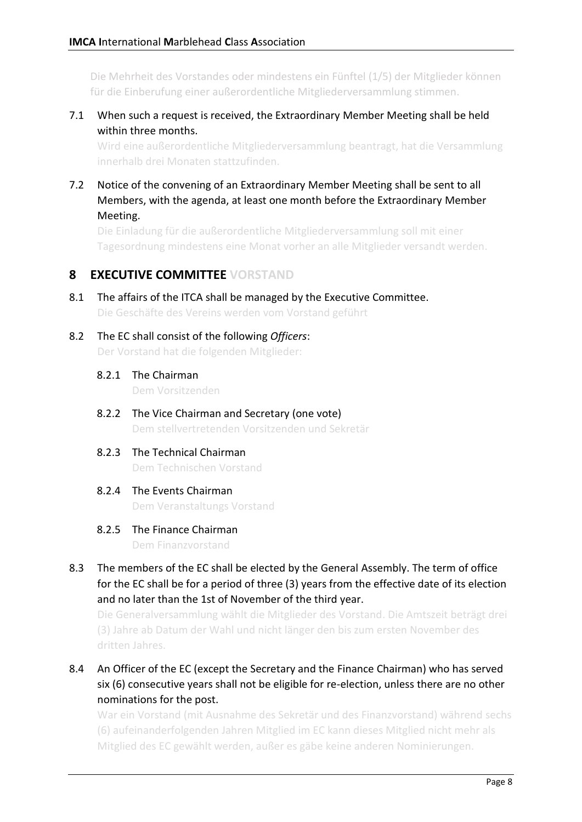Die Mehrheit des Vorstandes oder mindestens ein Fünftel (1/5) der Mitglieder können für die Einberufung einer außerordentliche Mitgliederversammlung stimmen.

7.1 When such a request is received, the Extraordinary Member Meeting shall be held within three months.

Wird eine außerordentliche Mitgliederversammlung beantragt, hat die Versammlung innerhalb drei Monaten stattzufinden.

7.2 Notice of the convening of an Extraordinary Member Meeting shall be sent to all Members, with the agenda, at least one month before the Extraordinary Member Meeting.

Die Einladung für die außerordentliche Mitgliederversammlung soll mit einer Tagesordnung mindestens eine Monat vorher an alle Mitglieder versandt werden.

## **8 EXECUTIVE COMMITTEE VORSTAND**

- 8.1 The affairs of the ITCA shall be managed by the Executive Committee. Die Geschäfte des Vereins werden vom Vorstand geführt
- 8.2 The EC shall consist of the following *Officers*: Der Vorstand hat die folgenden Mitglieder:
	- 8.2.1 The Chairman

Dem Vorsitzenden

- 8.2.2 The Vice Chairman and Secretary (one vote) Dem stellvertretenden Vorsitzenden und Sekretär
- 8.2.3 The Technical Chairman Dem Technischen Vorstand
- 8.2.4 The Events Chairman Dem Veranstaltungs Vorstand

#### 8.2.5 The Finance Chairman

Dem Finanzvorstand

8.3 The members of the EC shall be elected by the General Assembly. The term of office for the EC shall be for a period of three (3) years from the effective date of its election and no later than the 1st of November of the third year.

Die Generalversammlung wählt die Mitglieder des Vorstand. Die Amtszeit beträgt drei (3) Jahre ab Datum der Wahl und nicht länger den bis zum ersten November des dritten Jahres.

8.4 An Officer of the EC (except the Secretary and the Finance Chairman) who has served six (6) consecutive years shall not be eligible for re-election, unless there are no other nominations for the post.

War ein Vorstand (mit Ausnahme des Sekretär und des Finanzvorstand) während sechs (6) aufeinanderfolgenden Jahren Mitglied im EC kann dieses Mitglied nicht mehr als Mitglied des EC gewählt werden, außer es gäbe keine anderen Nominierungen.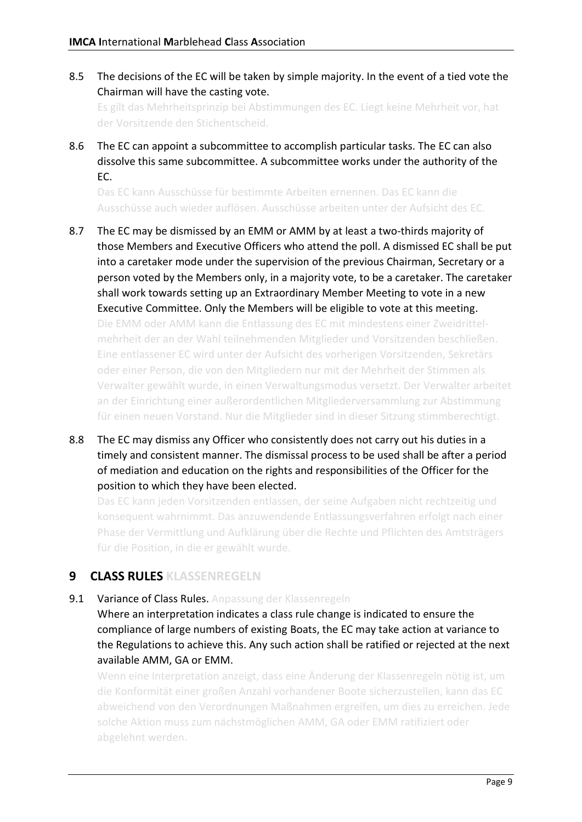8.5 The decisions of the EC will be taken by simple majority. In the event of a tied vote the Chairman will have the casting vote.

Es gilt das Mehrheitsprinzip bei Abstimmungen des EC. Liegt keine Mehrheit vor, hat der Vorsitzende den Stichentscheid.

8.6 The EC can appoint a subcommittee to accomplish particular tasks. The EC can also dissolve this same subcommittee. A subcommittee works under the authority of the EC.

Das EC kann Ausschüsse für bestimmte Arbeiten ernennen. Das EC kann die Ausschüsse auch wieder auflösen. Ausschüsse arbeiten unter der Aufsicht des EC.

- 8.7 The EC may be dismissed by an EMM or AMM by at least a two-thirds majority of those Members and Executive Officers who attend the poll. A dismissed EC shall be put into a caretaker mode under the supervision of the previous Chairman, Secretary or a person voted by the Members only, in a majority vote, to be a caretaker. The caretaker shall work towards setting up an Extraordinary Member Meeting to vote in a new Executive Committee. Only the Members will be eligible to vote at this meeting. Die EMM oder AMM kann die Entlassung des EC mit mindestens einer Zweidrittelmehrheit der an der Wahl teilnehmenden Mitglieder und Vorsitzenden beschließen. Eine entlassener EC wird unter der Aufsicht des vorherigen Vorsitzenden, Sekretärs oder einer Person, die von den Mitgliedern nur mit der Mehrheit der Stimmen als Verwalter gewählt wurde, in einen Verwaltungsmodus versetzt. Der Verwalter arbeitet an der Einrichtung einer außerordentlichen Mitgliederversammlung zur Abstimmung für einen neuen Vorstand. Nur die Mitglieder sind in dieser Sitzung stimmberechtigt.
- 8.8 The EC may dismiss any Officer who consistently does not carry out his duties in a timely and consistent manner. The dismissal process to be used shall be after a period of mediation and education on the rights and responsibilities of the Officer for the position to which they have been elected.

Das EC kann jeden Vorsitzenden entlassen, der seine Aufgaben nicht rechtzeitig und konsequent wahrnimmt. Das anzuwendende Entlassungsverfahren erfolgt nach einer Phase der Vermittlung und Aufklärung über die Rechte und Pflichten des Amtsträgers für die Position, in die er gewählt wurde.

## **9 CLASS RULES KLASSENREGELN**

9.1 Variance of Class Rules. Anpassung der Klassenregeln

Where an interpretation indicates a class rule change is indicated to ensure the compliance of large numbers of existing Boats, the EC may take action at variance to the Regulations to achieve this. Any such action shall be ratified or rejected at the next available AMM, GA or EMM.

Wenn eine Interpretation anzeigt, dass eine Änderung der Klassenregeln nötig ist, um die Konformität einer großen Anzahl vorhandener Boote sicherzustellen, kann das EC abweichend von den Verordnungen Maßnahmen ergreifen, um dies zu erreichen. Jede solche Aktion muss zum nächstmöglichen AMM, GA oder EMM ratifiziert oder abgelehnt werden.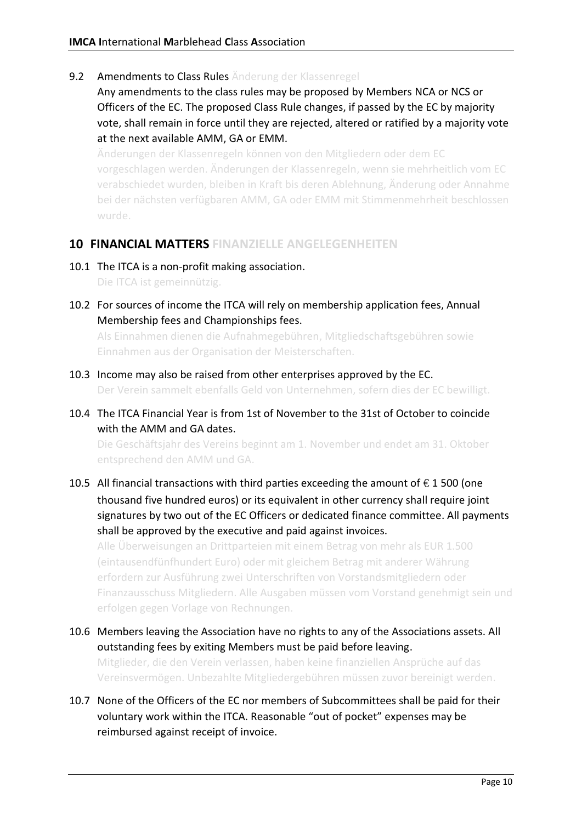- 9.2 Amendments to Class Rules Änderung der Klassenregel
	- Any amendments to the class rules may be proposed by Members NCA or NCS or Officers of the EC. The proposed Class Rule changes, if passed by the EC by majority vote, shall remain in force until they are rejected, altered or ratified by a majority vote at the next available AMM, GA or EMM.

Änderungen der Klassenregeln können von den Mitgliedern oder dem EC vorgeschlagen werden. Änderungen der Klassenregeln, wenn sie mehrheitlich vom EC verabschiedet wurden, bleiben in Kraft bis deren Ablehnung, Änderung oder Annahme bei der nächsten verfügbaren AMM, GA oder EMM mit Stimmenmehrheit beschlossen wurde.

#### **10 FINANCIAL MATTERS FINANZIELLE ANGELEGENHEITEN**

- 10.1 The ITCA is a non-profit making association. Die ITCA ist gemeinnützig.
- 10.2 For sources of income the ITCA will rely on membership application fees, Annual Membership fees and Championships fees.

Als Einnahmen dienen die Aufnahmegebühren, Mitgliedschaftsgebühren sowie Einnahmen aus der Organisation der Meisterschaften.

- 10.3 Income may also be raised from other enterprises approved by the EC. Der Verein sammelt ebenfalls Geld von Unternehmen, sofern dies der EC bewilligt.
- 10.4 The ITCA Financial Year is from 1st of November to the 31st of October to coincide with the AMM and GA dates.

Die Geschäftsjahr des Vereins beginnt am 1. November und endet am 31. Oktober entsprechend den AMM und GA.

10.5 All financial transactions with third parties exceeding the amount of  $\epsilon$  1 500 (one thousand five hundred euros) or its equivalent in other currency shall require joint signatures by two out of the EC Officers or dedicated finance committee. All payments shall be approved by the executive and paid against invoices.

Alle Überweisungen an Drittparteien mit einem Betrag von mehr als EUR 1.500 (eintausendfünfhundert Euro) oder mit gleichem Betrag mit anderer Währung erfordern zur Ausführung zwei Unterschriften von Vorstandsmitgliedern oder Finanzausschuss Mitgliedern. Alle Ausgaben müssen vom Vorstand genehmigt sein und erfolgen gegen Vorlage von Rechnungen.

- 10.6 Members leaving the Association have no rights to any of the Associations assets. All outstanding fees by exiting Members must be paid before leaving. Mitglieder, die den Verein verlassen, haben keine finanziellen Ansprüche auf das Vereinsvermögen. Unbezahlte Mitgliedergebühren müssen zuvor bereinigt werden.
- 10.7 None of the Officers of the EC nor members of Subcommittees shall be paid for their voluntary work within the ITCA. Reasonable "out of pocket" expenses may be reimbursed against receipt of invoice.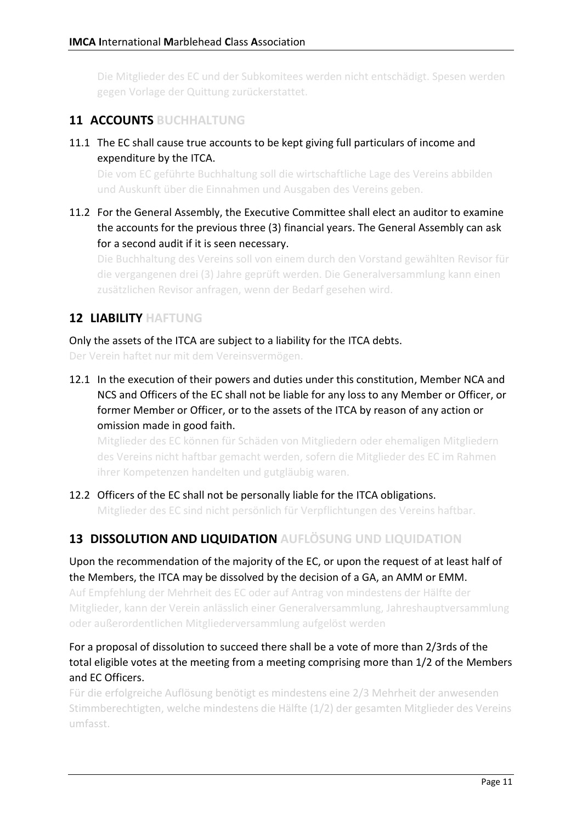Die Mitglieder des EC und der Subkomitees werden nicht entschädigt. Spesen werden gegen Vorlage der Quittung zurückerstattet.

## **11 ACCOUNTS BUCHHALTUNG**

#### 11.1 The EC shall cause true accounts to be kept giving full particulars of income and expenditure by the ITCA.

Die vom EC geführte Buchhaltung soll die wirtschaftliche Lage des Vereins abbilden und Auskunft über die Einnahmen und Ausgaben des Vereins geben.

11.2 For the General Assembly, the Executive Committee shall elect an auditor to examine the accounts for the previous three (3) financial years. The General Assembly can ask for a second audit if it is seen necessary.

Die Buchhaltung des Vereins soll von einem durch den Vorstand gewählten Revisor für die vergangenen drei (3) Jahre geprüft werden. Die Generalversammlung kann einen zusätzlichen Revisor anfragen, wenn der Bedarf gesehen wird.

## **12 LIABILITY HAFTUNG**

Only the assets of the ITCA are subject to a liability for the ITCA debts.

Der Verein haftet nur mit dem Vereinsvermögen.

12.1 In the execution of their powers and duties under this constitution, Member NCA and NCS and Officers of the EC shall not be liable for any loss to any Member or Officer, or former Member or Officer, or to the assets of the ITCA by reason of any action or omission made in good faith.

Mitglieder des EC können für Schäden von Mitgliedern oder ehemaligen Mitgliedern des Vereins nicht haftbar gemacht werden, sofern die Mitglieder des EC im Rahmen ihrer Kompetenzen handelten und gutgläubig waren.

12.2 Officers of the EC shall not be personally liable for the ITCA obligations. Mitglieder des EC sind nicht persönlich für Verpflichtungen des Vereins haftbar.

## **13 DISSOLUTION AND LIQUIDATION AUFLÖSUNG UND LIQUIDATION**

Upon the recommendation of the majority of the EC, or upon the request of at least half of the Members, the ITCA may be dissolved by the decision of a GA, an AMM or EMM.

Auf Empfehlung der Mehrheit des EC oder auf Antrag von mindestens der Hälfte der Mitglieder, kann der Verein anlässlich einer Generalversammlung, Jahreshauptversammlung oder außerordentlichen Mitgliederversammlung aufgelöst werden

#### For a proposal of dissolution to succeed there shall be a vote of more than 2/3rds of the total eligible votes at the meeting from a meeting comprising more than 1/2 of the Members and EC Officers.

Für die erfolgreiche Auflösung benötigt es mindestens eine 2/3 Mehrheit der anwesenden Stimmberechtigten, welche mindestens die Hälfte (1/2) der gesamten Mitglieder des Vereins umfasst.